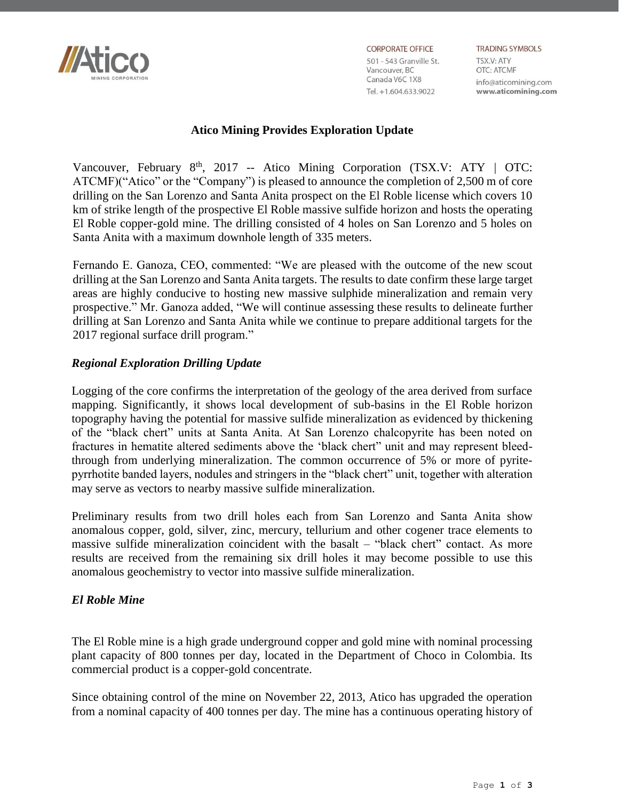

**CORPORATE OFFICE** 

501 - 543 Granville St. Vancouver, BC Canada V6C 1X8 Tel. +1.604.633.9022

**TRADING SYMBOLS** TSX.V: ATY OTC: ATCMF info@aticomining.com www.aticomining.com

# **Atico Mining Provides Exploration Update**

Vancouver, February 8<sup>th</sup>, 2017 -- Atico Mining Corporation (TSX.V: ATY | OTC: ATCMF)("Atico" or the "Company") is pleased to announce the completion of 2,500 m of core drilling on the San Lorenzo and Santa Anita prospect on the El Roble license which covers 10 km of strike length of the prospective El Roble massive sulfide horizon and hosts the operating El Roble copper-gold mine. The drilling consisted of 4 holes on San Lorenzo and 5 holes on Santa Anita with a maximum downhole length of 335 meters.

Fernando E. Ganoza, CEO, commented: "We are pleased with the outcome of the new scout drilling at the San Lorenzo and Santa Anita targets. The results to date confirm these large target areas are highly conducive to hosting new massive sulphide mineralization and remain very prospective." Mr. Ganoza added, "We will continue assessing these results to delineate further drilling at San Lorenzo and Santa Anita while we continue to prepare additional targets for the 2017 regional surface drill program."

## *Regional Exploration Drilling Update*

Logging of the core confirms the interpretation of the geology of the area derived from surface mapping. Significantly, it shows local development of sub-basins in the El Roble horizon topography having the potential for massive sulfide mineralization as evidenced by thickening of the "black chert" units at Santa Anita. At San Lorenzo chalcopyrite has been noted on fractures in hematite altered sediments above the 'black chert" unit and may represent bleedthrough from underlying mineralization. The common occurrence of 5% or more of pyritepyrrhotite banded layers, nodules and stringers in the "black chert" unit, together with alteration may serve as vectors to nearby massive sulfide mineralization.

Preliminary results from two drill holes each from San Lorenzo and Santa Anita show anomalous copper, gold, silver, zinc, mercury, tellurium and other cogener trace elements to massive sulfide mineralization coincident with the basalt – "black chert" contact. As more results are received from the remaining six drill holes it may become possible to use this anomalous geochemistry to vector into massive sulfide mineralization.

### *El Roble Mine*

The El Roble mine is a high grade underground copper and gold mine with nominal processing plant capacity of 800 tonnes per day, located in the Department of Choco in Colombia. Its commercial product is a copper-gold concentrate.

Since obtaining control of the mine on November 22, 2013, Atico has upgraded the operation from a nominal capacity of 400 tonnes per day. The mine has a continuous operating history of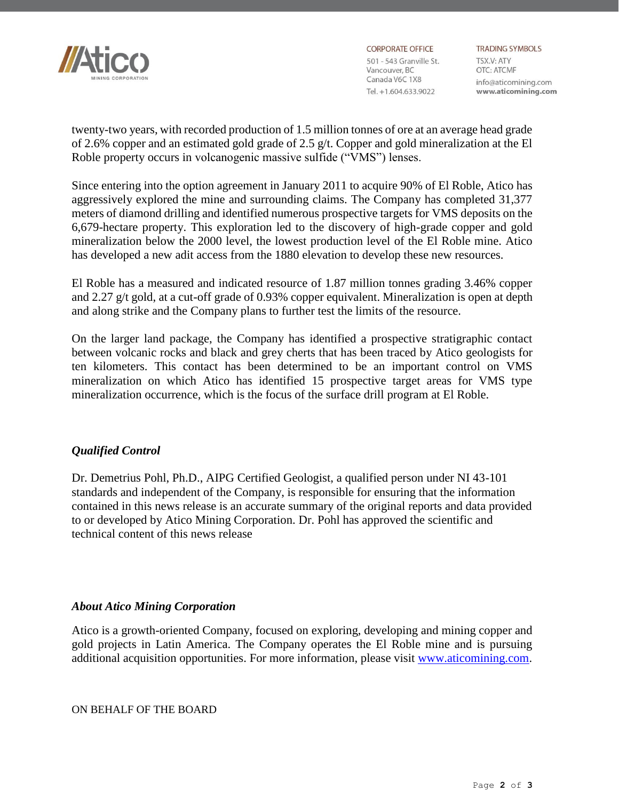

**CORPORATE OFFICE** 501 - 543 Granville St. Vancouver, BC<br>Canada V6C 1X8 Vancouver, BC Tel. +1.604.633.9022

**TRADING SYMBOLS** TSX.V: ATY **OTC: ATCMF** info@aticomining.com www.aticomining.com

twenty-two years, with recorded production of 1.5 million tonnes of ore at an average head grade of 2.6% copper and an estimated gold grade of 2.5 g/t. Copper and gold mineralization at the El Roble property occurs in volcanogenic massive sulfide ("VMS") lenses.

Since entering into the option agreement in January 2011 to acquire 90% of El Roble, Atico has aggressively explored the mine and surrounding claims. The Company has completed 31,377 meters of diamond drilling and identified numerous prospective targets for VMS deposits on the 6,679-hectare property. This exploration led to the discovery of high-grade copper and gold mineralization below the 2000 level, the lowest production level of the El Roble mine. Atico has developed a new adit access from the 1880 elevation to develop these new resources.

El Roble has a measured and indicated resource of 1.87 million tonnes grading 3.46% copper and 2.27 g/t gold, at a cut-off grade of 0.93% copper equivalent. Mineralization is open at depth and along strike and the Company plans to further test the limits of the resource.

On the larger land package, the Company has identified a prospective stratigraphic contact between volcanic rocks and black and grey cherts that has been traced by Atico geologists for ten kilometers. This contact has been determined to be an important control on VMS mineralization on which Atico has identified 15 prospective target areas for VMS type mineralization occurrence, which is the focus of the surface drill program at El Roble.

### *Qualified Control*

Dr. Demetrius Pohl, Ph.D., AIPG Certified Geologist, a qualified person under NI 43-101 standards and independent of the Company, is responsible for ensuring that the information contained in this news release is an accurate summary of the original reports and data provided to or developed by Atico Mining Corporation. Dr. Pohl has approved the scientific and technical content of this news release

### *About Atico Mining Corporation*

Atico is a growth-oriented Company, focused on exploring, developing and mining copper and gold projects in Latin America. The Company operates the El Roble mine and is pursuing additional acquisition opportunities. For more information, please visit [www.aticomining.com.](http://www.aticomining.com/)

ON BEHALF OF THE BOARD